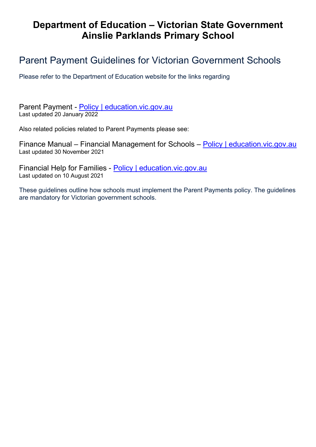# Department of Education – Victorian State Government Ainslie Parklands Primary School

## Parent Payment Guidelines for Victorian Government Schools

Please refer to the Department of Education website for the links regarding

Parent Payment - Policy | education.vic.gov.au Last updated 20 January 2022

Also related policies related to Parent Payments please see:

Finance Manual – Financial Management for Schools – Policy | education.vic.gov.au Last updated 30 November 2021

Financial Help for Families - Policy | education.vic.gov.au Last updated on 10 August 2021

These guidelines outline how schools must implement the Parent Payments policy. The guidelines are mandatory for Victorian government schools.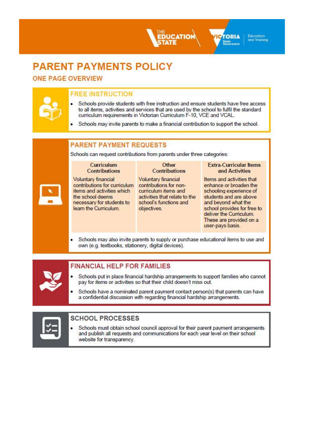# **PARENT PAYMENTS POLICY**

## **ONE PAGE OVERVIEW**

## **FREE INSTRUCTION**

Schools provide students with free instruction and ensure students have free access to all items, activities and services that are used by the school to fulfil the standard curriculum requirements in Victorian Curriculum F-10, VCE and VCAL.

**JCATION** 

Schools may invite parents to make a financial contribution to support the school.

## **PARENT PAYMENT REQUESTS**

Schools can request contributions from parents under three categories:

#### **Curriculum Contributions**

Voluntary financial contributions for curriculum items and activities which the school deems necessary for students to learn the Curriculum.

### Other **Contributions**

Voluntary financial contributions for noncurriculum items and activities that relate to the school's functions and objectives.

### **Extra-Curricular Items** and Activities

**TORIA** 

Education and Training

Items and activities that enhance or broaden the schooling experience of students and are above and beyond what the school provides for free to deliver the Curriculum. These are provided on a user-pays basis.

Schools may also invite parents to supply or purchase educational items to use and own (e.g. textbooks, stationery, digital devices).

## **FINANCIAL HELP FOR FAMILIES**

- Schools put in place financial hardship arrangements to support families who cannot pay for items or activities so that their child doesn't miss out.
- Schools have a nominated parent payment contact person(s) that parents can have a confidential discussion with regarding financial hardship arrangements.



## **SCHOOL PROCESSES**

Schools must obtain school council approval for their parent payment arrangements and publish all requests and communications for each year level on their school website for transparency.